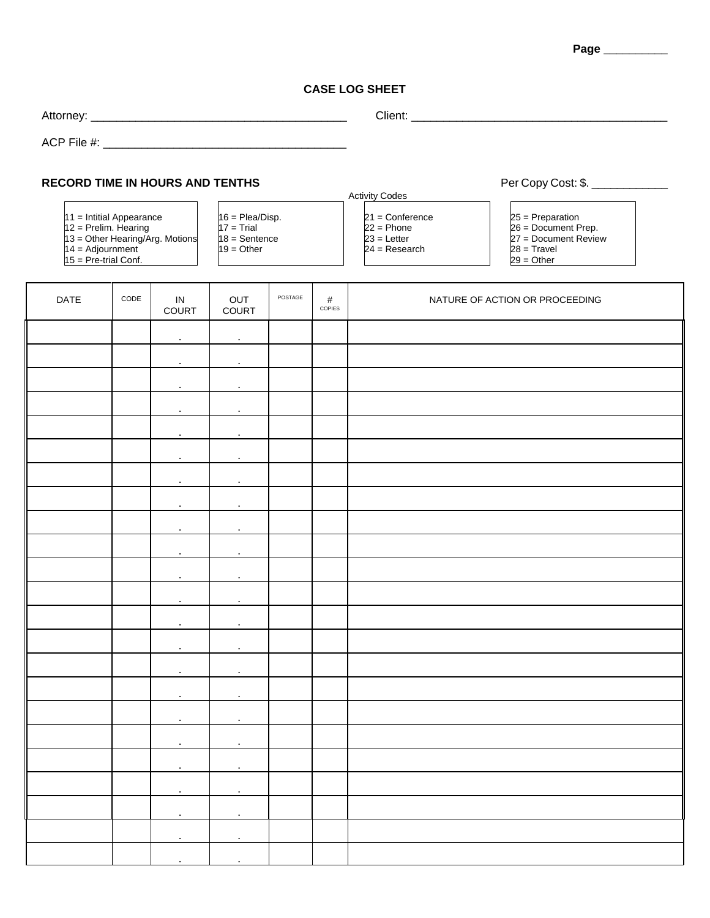## **Page \_\_\_\_\_\_\_\_\_\_**

## **CASE LOG SHEET**

| <b>RECORD TIME IN HOURS AND TENTHS</b><br>$11 =$ Intitial Appearance<br>$12$ = Prelim. Hearing<br>$13 =$ Other Hearing/Arg. Motions<br>$14 =$ Adjournment<br>$15 = Pre-trial Conf.$ |      |                           | $16 =$ Plea/Disp.<br>$17 = Trial$<br>$18 =$ Sentence<br>$19 = Other$ |         |             | <b>Activity Codes</b><br>$21 =$ Conference<br>$22 = Phone$<br>$23$ = Letter<br>$24 =$ Research | Per Copy Cost: \$. _______________<br>$25 =$ Preparation<br>26 = Document Prep.<br>27 = Document Review<br>$28 =$ Travel<br>$29 = Other$ |  |  |
|-------------------------------------------------------------------------------------------------------------------------------------------------------------------------------------|------|---------------------------|----------------------------------------------------------------------|---------|-------------|------------------------------------------------------------------------------------------------|------------------------------------------------------------------------------------------------------------------------------------------|--|--|
| <b>DATE</b>                                                                                                                                                                         | CODE | IN<br><b>COURT</b>        | OUT<br>COURT                                                         | POSTAGE | #<br>COPIES |                                                                                                | NATURE OF ACTION OR PROCEEDING                                                                                                           |  |  |
|                                                                                                                                                                                     |      | $\bullet$                 |                                                                      |         |             |                                                                                                |                                                                                                                                          |  |  |
|                                                                                                                                                                                     |      |                           |                                                                      |         |             |                                                                                                |                                                                                                                                          |  |  |
|                                                                                                                                                                                     |      | $\bullet$                 | $\bullet$                                                            |         |             |                                                                                                |                                                                                                                                          |  |  |
|                                                                                                                                                                                     |      | $\blacksquare$            | $\bullet$                                                            |         |             |                                                                                                |                                                                                                                                          |  |  |
|                                                                                                                                                                                     |      | $\mathbf{r}$              | $\mathbf{r}$                                                         |         |             |                                                                                                |                                                                                                                                          |  |  |
|                                                                                                                                                                                     |      | $\mathbf{r}$              |                                                                      |         |             |                                                                                                |                                                                                                                                          |  |  |
|                                                                                                                                                                                     |      | $\bullet$<br>$\mathbf{r}$ |                                                                      |         |             |                                                                                                |                                                                                                                                          |  |  |
|                                                                                                                                                                                     |      | $\bullet$                 | $\bullet$                                                            |         |             |                                                                                                |                                                                                                                                          |  |  |
|                                                                                                                                                                                     |      |                           | $\mathbf{r}$                                                         |         |             |                                                                                                |                                                                                                                                          |  |  |
|                                                                                                                                                                                     |      |                           |                                                                      |         |             |                                                                                                |                                                                                                                                          |  |  |
|                                                                                                                                                                                     |      | $\bullet$                 |                                                                      |         |             |                                                                                                |                                                                                                                                          |  |  |
|                                                                                                                                                                                     |      |                           |                                                                      |         |             |                                                                                                |                                                                                                                                          |  |  |
|                                                                                                                                                                                     |      |                           | $\sim$                                                               |         |             |                                                                                                |                                                                                                                                          |  |  |
|                                                                                                                                                                                     |      | $\sim$                    | $\bullet$                                                            |         |             |                                                                                                |                                                                                                                                          |  |  |
|                                                                                                                                                                                     |      |                           |                                                                      |         |             |                                                                                                |                                                                                                                                          |  |  |
|                                                                                                                                                                                     |      | $\sim$                    |                                                                      |         |             |                                                                                                |                                                                                                                                          |  |  |
|                                                                                                                                                                                     |      |                           |                                                                      |         |             |                                                                                                |                                                                                                                                          |  |  |
|                                                                                                                                                                                     |      | $\sim$                    | $\bullet$                                                            |         |             |                                                                                                |                                                                                                                                          |  |  |